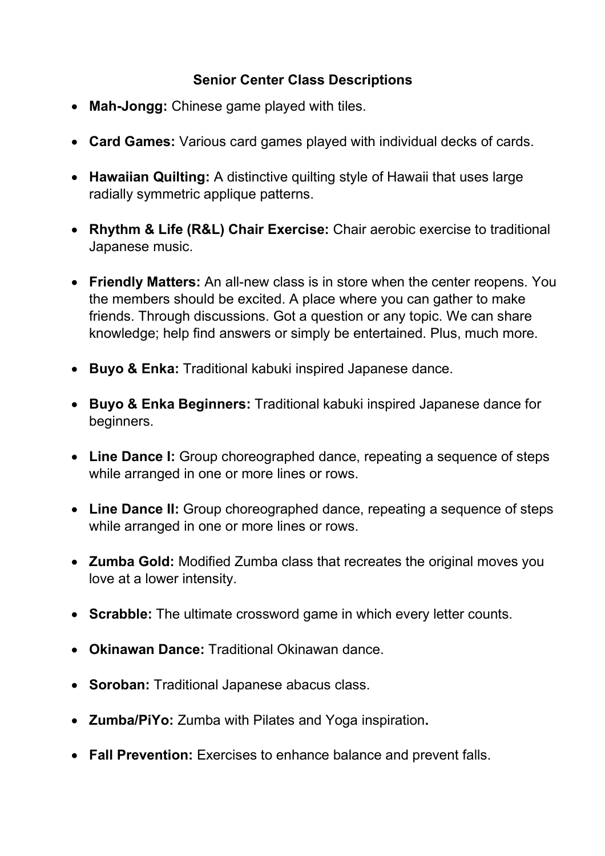## **Senior Center Class Descriptions**

- Mah-Jongg: Chinese game played with tiles.
- **Card Games:** Various card games played with individual decks of cards.
- Hawaiian Quilting: A distinctive quilting style of Hawaii that uses large radially symmetric applique patterns.
- **Rhythm & Life (R&L) Chair Exercise:** Chair aerobic exercise to traditional Japanese music.
- **Friendly Matters:** An all-new class is in store when the center reopens. You the members should be excited. A place where you can gather to make friends. Through discussions. Got a question or any topic. We can share knowledge; help find answers or simply be entertained. Plus, much more.
- **Buyo & Enka:** Traditional kabuki inspired Japanese dance.
- **Buyo & Enka Beginners:** Traditional kabuki inspired Japanese dance for beginners.
- Line Dance I: Group choreographed dance, repeating a sequence of steps while arranged in one or more lines or rows.
- Line Dance II: Group choreographed dance, repeating a sequence of steps while arranged in one or more lines or rows.
- **Zumba Gold:** Modified Zumba class that recreates the original moves you love at a lower intensity.
- **Scrabble:** The ultimate crossword game in which every letter counts.
- **Okinawan Dance: Traditional Okinawan dance.**
- **Soroban:** Traditional Japanese abacus class.
- **Zu m ba/P iYo:** Zumba with Pilates and Yoga inspiration**.**
- **Fall Prevention:** Exercises to enhance balance and prevent falls.